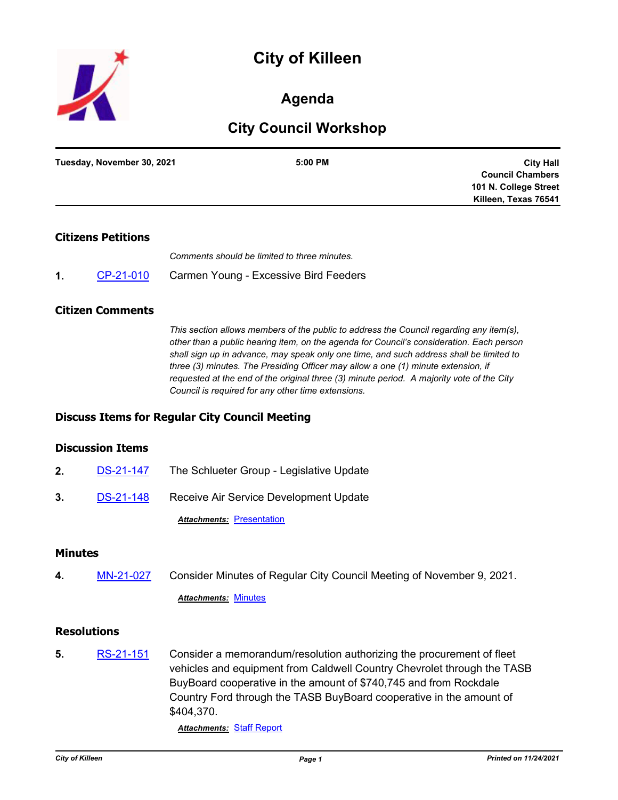

# **Agenda**

# **City Council Workshop**

| Tuesday, November 30, 2021 | 5:00 PM | <b>City Hall</b>        |
|----------------------------|---------|-------------------------|
|                            |         | <b>Council Chambers</b> |
|                            |         | 101 N. College Street   |
|                            |         | Killeen, Texas 76541    |
|                            |         |                         |

# **Citizens Petitions**

*Comments should be limited to three minutes.*

**1.** [CP-21-010](http://killeen.legistar.com/gateway.aspx?m=l&id=/matter.aspx?key=5801) Carmen Young - Excessive Bird Feeders

### **Citizen Comments**

*This section allows members of the public to address the Council regarding any item(s), other than a public hearing item, on the agenda for Council's consideration. Each person shall sign up in advance, may speak only one time, and such address shall be limited to three (3) minutes. The Presiding Officer may allow a one (1) minute extension, if requested at the end of the original three (3) minute period. A majority vote of the City Council is required for any other time extensions.*

# **Discuss Items for Regular City Council Meeting**

### **Discussion Items**

**2.** [DS-21-147](http://killeen.legistar.com/gateway.aspx?m=l&id=/matter.aspx?key=5793) The Schlueter Group - Legislative Update **3.** [DS-21-148](http://killeen.legistar.com/gateway.aspx?m=l&id=/matter.aspx?key=5803) Receive Air Service Development Update

**Attachments: [Presentation](http://killeen.legistar.com/gateway.aspx?M=F&ID=f6ad7270-c157-4b4d-b951-9988f663b52d.pdf)** 

#### **Minutes**

**4.** [MN-21-027](http://killeen.legistar.com/gateway.aspx?m=l&id=/matter.aspx?key=5786) Consider Minutes of Regular City Council Meeting of November 9, 2021.

*Attachments:* [Minutes](http://killeen.legistar.com/gateway.aspx?M=F&ID=d0b3e2fd-fd69-4a03-8678-506e719912f9.pdf)

### **Resolutions**

**5.** [RS-21-151](http://killeen.legistar.com/gateway.aspx?m=l&id=/matter.aspx?key=5791) Consider a memorandum/resolution authorizing the procurement of fleet vehicles and equipment from Caldwell Country Chevrolet through the TASB BuyBoard cooperative in the amount of \$740,745 and from Rockdale Country Ford through the TASB BuyBoard cooperative in the amount of \$404,370.

*Attachments:* [Staff Report](http://killeen.legistar.com/gateway.aspx?M=F&ID=d3d7983e-1948-4a00-bb35-08e83615f954.pdf)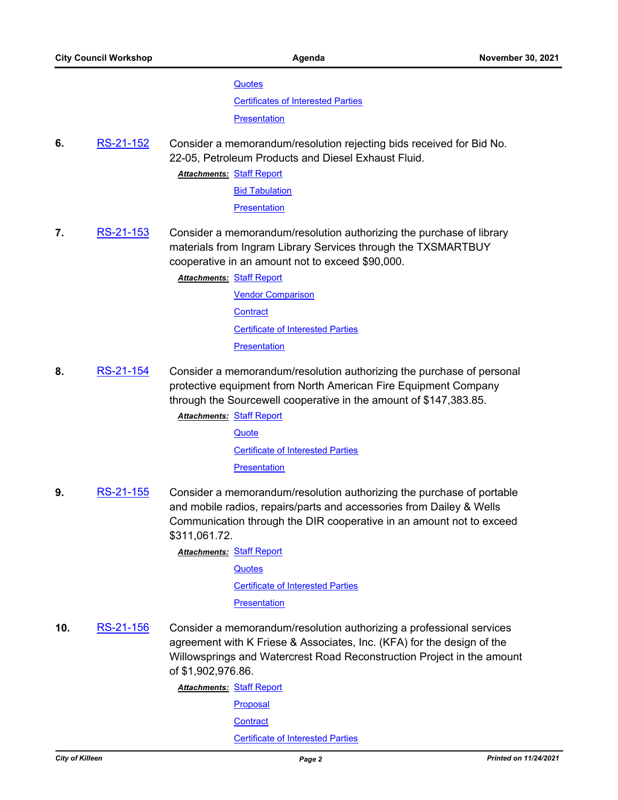#### **[Quotes](http://killeen.legistar.com/gateway.aspx?M=F&ID=daa97458-ee46-436c-a69a-8eddb2523fbe.pdf)**

[Certificates of Interested Parties](http://killeen.legistar.com/gateway.aspx?M=F&ID=15723bb8-6c41-454c-9195-aec2e17d2f18.pdf)

**[Presentation](http://killeen.legistar.com/gateway.aspx?M=F&ID=495c6678-8ba3-46b7-8574-570906b54c94.pdf)** 

**6.** [RS-21-152](http://killeen.legistar.com/gateway.aspx?m=l&id=/matter.aspx?key=5797) Consider a memorandum/resolution rejecting bids received for Bid No. 22-05, Petroleum Products and Diesel Exhaust Fluid.

**Attachments: [Staff Report](http://killeen.legistar.com/gateway.aspx?M=F&ID=7cc7b108-2bca-4267-9c0b-0506624e1747.pdf)** 

[Bid Tabulation](http://killeen.legistar.com/gateway.aspx?M=F&ID=eb23420b-99f8-4511-aec0-e232c8c2b407.pdf)

**[Presentation](http://killeen.legistar.com/gateway.aspx?M=F&ID=81c1ae4a-d4cb-4442-bf09-2fb229c3d1e1.pdf)** 

**7.** [RS-21-153](http://killeen.legistar.com/gateway.aspx?m=l&id=/matter.aspx?key=5778) Consider a memorandum/resolution authorizing the purchase of library materials from Ingram Library Services through the TXSMARTBUY cooperative in an amount not to exceed \$90,000.

**Attachments: [Staff Report](http://killeen.legistar.com/gateway.aspx?M=F&ID=5b400ace-5a34-4c2d-ad11-3c13f152f22a.pdf)** 

[Vendor Comparison](http://killeen.legistar.com/gateway.aspx?M=F&ID=3ab2de1b-2801-47c7-a0a8-b014e6c3542d.pdf) **[Contract](http://killeen.legistar.com/gateway.aspx?M=F&ID=f819edc6-9e1d-44a2-a3b7-68a058410a89.pdf)** [Certificate of Interested Parties](http://killeen.legistar.com/gateway.aspx?M=F&ID=b9c18981-ec3f-4e5e-bd7a-f25d0e18e739.pdf) **[Presentation](http://killeen.legistar.com/gateway.aspx?M=F&ID=357c5b52-f4f4-4bb4-ab01-4d141f890574.pdf)** 

**8.** [RS-21-154](http://killeen.legistar.com/gateway.aspx?m=l&id=/matter.aspx?key=5787) Consider a memorandum/resolution authorizing the purchase of personal protective equipment from North American Fire Equipment Company through the Sourcewell cooperative in the amount of \$147,383.85.

**Attachments: [Staff Report](http://killeen.legistar.com/gateway.aspx?M=F&ID=a9fcb068-89d4-4c44-b34a-871471f83573.pdf)** 

**[Quote](http://killeen.legistar.com/gateway.aspx?M=F&ID=20fe1757-049a-495d-84fd-32792e0e8ceb.pdf)** [Certificate of Interested Parties](http://killeen.legistar.com/gateway.aspx?M=F&ID=74add2c4-38fb-46db-9dd8-56ffdc10d456.pdf) **[Presentation](http://killeen.legistar.com/gateway.aspx?M=F&ID=7f79dc88-1b1a-4b38-a88e-0cec9ed807da.pdf)** 

**9.** [RS-21-155](http://killeen.legistar.com/gateway.aspx?m=l&id=/matter.aspx?key=5799) Consider a memorandum/resolution authorizing the purchase of portable and mobile radios, repairs/parts and accessories from Dailey & Wells Communication through the DIR cooperative in an amount not to exceed \$311,061.72.

**Attachments: [Staff Report](http://killeen.legistar.com/gateway.aspx?M=F&ID=e4044c48-4df5-403d-8ba1-e9c880429dfc.pdf)** 

**[Quotes](http://killeen.legistar.com/gateway.aspx?M=F&ID=2f9618f0-4f4d-48b3-aeb0-d7ce62c47fa9.pdf)** 

[Certificate of Interested Parties](http://killeen.legistar.com/gateway.aspx?M=F&ID=9b337ad8-afb2-47e4-98d6-52fc0bfe9fe2.pdf)

**[Presentation](http://killeen.legistar.com/gateway.aspx?M=F&ID=a48566d1-7fdf-4d9e-95e0-ab5d613e7861.pdf)** 

**10.** [RS-21-156](http://killeen.legistar.com/gateway.aspx?m=l&id=/matter.aspx?key=5783) Consider a memorandum/resolution authorizing a professional services agreement with K Friese & Associates, Inc. (KFA) for the design of the Willowsprings and Watercrest Road Reconstruction Project in the amount of \$1,902,976.86.

**Attachments: [Staff Report](http://killeen.legistar.com/gateway.aspx?M=F&ID=6435d19c-24aa-4bff-a16d-bc60ca44397c.pdf)** 

**[Proposal](http://killeen.legistar.com/gateway.aspx?M=F&ID=514f6df0-0b2c-41dc-a26b-47cfb95cede9.pdf) [Contract](http://killeen.legistar.com/gateway.aspx?M=F&ID=e8abf219-3df0-49a5-b11f-12db1dab758c.pdf)** [Certificate of Interested Parties](http://killeen.legistar.com/gateway.aspx?M=F&ID=9c5cb4cf-03ea-421f-ac1f-ab7d3fd91ce9.pdf)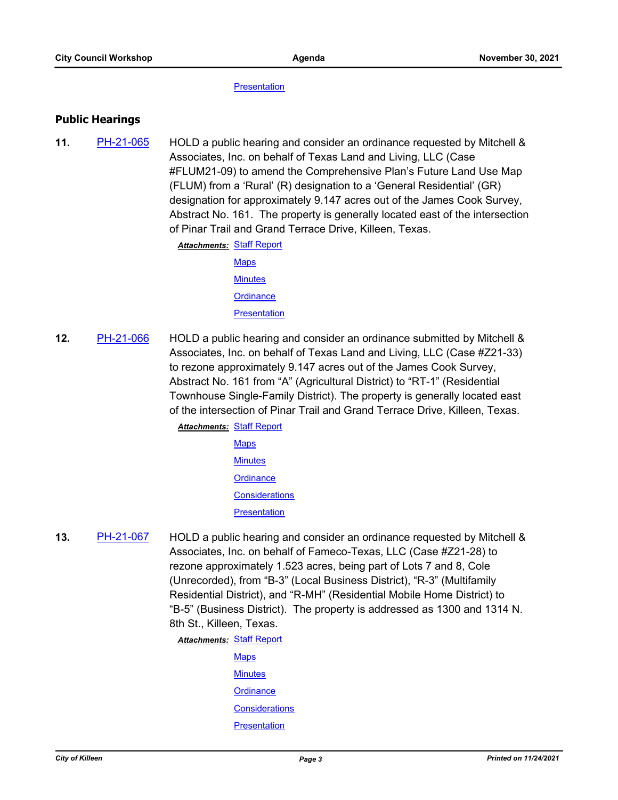**[Presentation](http://killeen.legistar.com/gateway.aspx?M=F&ID=adbf053a-a09d-4905-b749-b808f5dbfa26.pdf)** 

### **Public Hearings**

**11.** [PH-21-065](http://killeen.legistar.com/gateway.aspx?m=l&id=/matter.aspx?key=5790) HOLD a public hearing and consider an ordinance requested by Mitchell & Associates, Inc. on behalf of Texas Land and Living, LLC (Case #FLUM21-09) to amend the Comprehensive Plan's Future Land Use Map (FLUM) from a 'Rural' (R) designation to a 'General Residential' (GR) designation for approximately 9.147 acres out of the James Cook Survey, Abstract No. 161. The property is generally located east of the intersection of Pinar Trail and Grand Terrace Drive, Killeen, Texas.

**Attachments: [Staff Report](http://killeen.legistar.com/gateway.aspx?M=F&ID=e1793750-bddb-4ee8-b399-9b99e16a6603.pdf)** 

- **[Maps](http://killeen.legistar.com/gateway.aspx?M=F&ID=2d75521c-0609-4738-b155-792a5ad30590.pdf) [Minutes](http://killeen.legistar.com/gateway.aspx?M=F&ID=2f912324-00a9-40f4-8e04-245d8b6c08dc.pdf) [Ordinance](http://killeen.legistar.com/gateway.aspx?M=F&ID=0b8b2c8d-6114-46b3-b1df-f97382588c16.pdf) [Presentation](http://killeen.legistar.com/gateway.aspx?M=F&ID=1d570017-5b90-443e-ba1d-2a67afcc9fd7.pdf)**
- **12.** [PH-21-066](http://killeen.legistar.com/gateway.aspx?m=l&id=/matter.aspx?key=5643) HOLD a public hearing and consider an ordinance submitted by Mitchell & Associates, Inc. on behalf of Texas Land and Living, LLC (Case #Z21-33) to rezone approximately 9.147 acres out of the James Cook Survey, Abstract No. 161 from "A" (Agricultural District) to "RT-1" (Residential Townhouse Single-Family District). The property is generally located east of the intersection of Pinar Trail and Grand Terrace Drive, Killeen, Texas.
	- **Attachments: [Staff Report](http://killeen.legistar.com/gateway.aspx?M=F&ID=1fda0dea-d313-4cc3-ad5b-0cd3c9193342.pdf) [Maps](http://killeen.legistar.com/gateway.aspx?M=F&ID=f020ac74-7cc3-419b-9eda-0ffbde6d4069.pdf) [Minutes](http://killeen.legistar.com/gateway.aspx?M=F&ID=3f222ef9-cbae-4408-ab99-cab90090358c.pdf) [Ordinance](http://killeen.legistar.com/gateway.aspx?M=F&ID=de884beb-bf36-4dec-89bd-63b655004f6a.pdf) [Considerations](http://killeen.legistar.com/gateway.aspx?M=F&ID=5317e430-b2f2-4b1c-8b9b-79f5d4178347.pdf) [Presentation](http://killeen.legistar.com/gateway.aspx?M=F&ID=52714155-add8-408f-9d30-05a20b2bed07.pdf)**
- **13.** [PH-21-067](http://killeen.legistar.com/gateway.aspx?m=l&id=/matter.aspx?key=5731) HOLD a public hearing and consider an ordinance requested by Mitchell & Associates, Inc. on behalf of Fameco-Texas, LLC (Case #Z21-28) to rezone approximately 1.523 acres, being part of Lots 7 and 8, Cole (Unrecorded), from "B-3" (Local Business District), "R-3" (Multifamily Residential District), and "R-MH" (Residential Mobile Home District) to "B-5" (Business District). The property is addressed as 1300 and 1314 N. 8th St., Killeen, Texas.

**Attachments: [Staff Report](http://killeen.legistar.com/gateway.aspx?M=F&ID=b93051fd-376b-4293-8ff4-852946e5bb73.pdf)** 

**[Maps](http://killeen.legistar.com/gateway.aspx?M=F&ID=7bc1ea23-72c4-4705-a8b4-e7241dfed1d3.pdf) [Minutes](http://killeen.legistar.com/gateway.aspx?M=F&ID=6923cd85-3afd-47f3-b81a-7a8239cdd11d.pdf) [Ordinance](http://killeen.legistar.com/gateway.aspx?M=F&ID=14fbb55d-8569-431e-9eec-c931f9a7af3c.pdf) [Considerations](http://killeen.legistar.com/gateway.aspx?M=F&ID=a9de9ffc-4305-4bdb-b633-1fdca420c962.pdf) [Presentation](http://killeen.legistar.com/gateway.aspx?M=F&ID=a3eadf94-9674-41e6-b79c-37dc8710dbb1.pdf)**